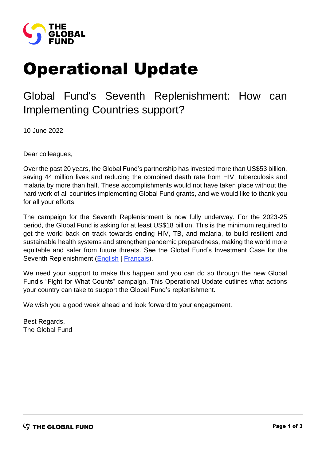

# Operational Update

# Global Fund's Seventh Replenishment: How can Implementing Countries support?

10 June 2022

Dear colleagues,

Over the past 20 years, the Global Fund's partnership has invested more than US\$53 billion, saving 44 million lives and reducing the combined death rate from HIV, tuberculosis and malaria by more than half. These accomplishments would not have taken place without the hard work of all countries implementing Global Fund grants, and we would like to thank you for all your efforts.

The campaign for the Seventh Replenishment is now fully underway. For the 2023-25 period, the Global Fund is asking for at least US\$18 billion. This is the minimum required to get the world back on track towards ending HIV, TB, and malaria, to build resilient and sustainable health systems and strengthen pandemic preparedness, making the world more equitable and safer from future threats. See the Global Fund's Investment Case for the Seventh Replenishment [\(English](https://www.theglobalfund.org/media/11798/publication_seventh-replenishment-investment-case_report_en.pdf) | [Français\)](https://www.theglobalfund.org/media/11811/publication_seventh-replenishment-investment-case_report_fr.pdf).

We need your support to make this happen and you can do so through the new Global Fund's "Fight for What Counts" campaign. This Operational Update outlines what actions your country can take to support the Global Fund's replenishment.

We wish you a good week ahead and look forward to your engagement.

Best Regards, The Global Fund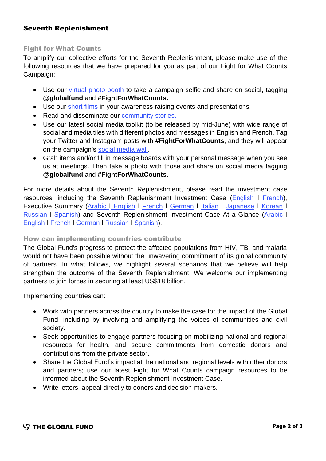## Seventh Replenishment

### Fight for What Counts

To amplify our collective efforts for the Seventh Replenishment, please make use of the following resources that we have prepared for you as part of our Fight for What Counts Campaign:

- Use our [virtual photo booth](https://theglobalfund.virtualbooth.co/) to take a campaign selfie and share on social, tagging **@globalfund** and **#FightForWhatCounts.**
- Use our [short films](https://www.youtube.com/user/theglobalfund) in your awareness raising events and presentations.
- Read and disseminate our [community stories.](https://www.theglobalfund.org/en/stories/)
- Use our latest social media toolkit (to be released by mid-June) with wide range of social and media tiles with different photos and messages in English and French. Tag your Twitter and Instagram posts with **#FightForWhatCounts**, and they will appear on the campaign's [social media wall.](https://my.walls.io/theglobalfund)
- Grab items and/or fill in message boards with your personal message when you see us at meetings. Then take a photo with those and share on social media tagging **@globalfund** and **#FightForWhatCounts**.

For more details about the Seventh Replenishment, please read the investment case resources, including the Seventh Replenishment Investment Case [\(English](https://www.theglobalfund.org/media/11798/publication_seventh-replenishment-investment-case_report_en.pdf) I [French\)](https://www.theglobalfund.org/media/11811/publication_seventh-replenishment-investment-case_report_fr.pdf), Executive Summary [\(Arabic](https://www.theglobalfund.org/media/11843/publication_seventh-replenishment-investment-case_summary_ar.pdf) | [English](https://www.theglobalfund.org/media/11784/publication_seventh-replenishment-investment-case_summary_en.pdf) | [French](https://www.theglobalfund.org/media/11786/publication_seventh-replenishment-investment-case_summary_fr.pdf) | [German](https://www.theglobalfund.org/media/11803/publication_seventh-replenishment-investment-case_summary_de.pdf) | [Italian](https://www.theglobalfund.org/media/11826/publication_seventh-replenishment-investment-case_summary_it.pdf) | [Japanese](https://www.theglobalfund.org/media/11812/publication_seventh-replenishment-investment-case_summary_jp.pdf) | [Korean](https://www.theglobalfund.org/media/11991/publication_seventh-replenishment-investment-case_summary_ko.pdf) | [Russian](https://www.theglobalfund.org/media/11886/publication_seventh-replenishment-investment-case_summary_ru.pdf) I [Spanish\)](https://www.theglobalfund.org/media/11785/publication_seventh-replenishment-investment-case_summary_es.pdf) and Seventh Replenishment Investment Case At a Glance [\(Arabic](https://www.theglobalfund.org/media/12008/publication_seventh-replenishment-investment-case_overview_ar.pdf) I [English](https://www.theglobalfund.org/media/11926/publication_seventh-replenishment-investment-case_overview_en.pdf) ǀ [French](https://www.theglobalfund.org/media/11962/publication_seventh-replenishment-investment-case_overview_fr.pdf) ǀ [German](https://www.theglobalfund.org/media/12005/publication_seventh-replenishment-investment-case_overview_de.pdf) ǀ [Russian](https://www.theglobalfund.org/media/12007/publication_seventh-replenishment-investment-case_overview_ru.pdf) ǀ [Spanish\)](https://www.theglobalfund.org/media/12007/publication_seventh-replenishment-investment-case_overview_ru.pdf).

#### How can implementing countries contribute

The Global Fund's progress to protect the affected populations from HIV, TB, and malaria would not have been possible without the unwavering commitment of its global community of partners. In what follows, we highlight several scenarios that we believe will help strengthen the outcome of the Seventh Replenishment. We welcome our implementing partners to join forces in securing at least US\$18 billion.

Implementing countries can:

- Work with partners across the country to make the case for the impact of the Global Fund, including by involving and amplifying the voices of communities and civil society.
- Seek opportunities to engage partners focusing on mobilizing national and regional resources for health, and secure commitments from domestic donors and contributions from the private sector.
- Share the Global Fund's impact at the national and regional levels with other donors and partners; use our latest Fight for What Counts campaign resources to be informed about the Seventh Replenishment Investment Case.
- Write letters, appeal directly to donors and decision-makers.